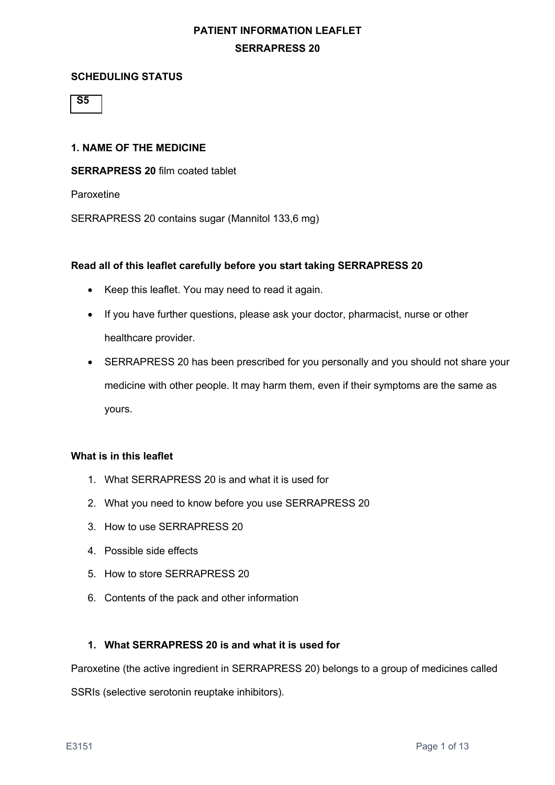#### **SCHEDULING STATUS**

 **S5**

#### **1. NAME OF THE MEDICINE**

**SERRAPRESS 20** film coated tablet

Paroxetine

SERRAPRESS 20 contains sugar (Mannitol 133,6 mg)

#### **Read all of this leaflet carefully before you start taking SERRAPRESS 20**

- Keep this leaflet. You may need to read it again.
- If you have further questions, please ask your doctor, pharmacist, nurse or other healthcare provider.
- SERRAPRESS 20 has been prescribed for you personally and you should not share your medicine with other people. It may harm them, even if their symptoms are the same as yours.

#### **What is in this leaflet**

- 1. What SERRAPRESS 20 is and what it is used for
- 2. What you need to know before you use SERRAPRESS 20
- 3. How to use SERRAPRESS 20
- 4. Possible side effects
- 5. How to store SERRAPRESS 20
- 6. Contents of the pack and other information

### **1. What SERRAPRESS 20 is and what it is used for**

Paroxetine (the active ingredient in SERRAPRESS 20) belongs to a group of medicines called

SSRIs (selective serotonin reuptake inhibitors).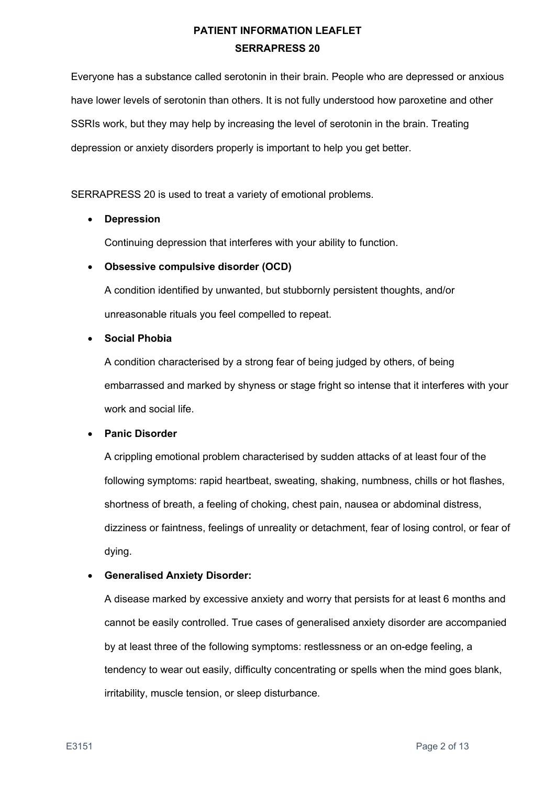Everyone has a substance called serotonin in their brain. People who are depressed or anxious have lower levels of serotonin than others. It is not fully understood how paroxetine and other SSRIs work, but they may help by increasing the level of serotonin in the brain. Treating depression or anxiety disorders properly is important to help you get better.

SERRAPRESS 20 is used to treat a variety of emotional problems.

## • **Depression**

Continuing depression that interferes with your ability to function.

### • **Obsessive compulsive disorder (OCD)**

A condition identified by unwanted, but stubbornly persistent thoughts, and/or unreasonable rituals you feel compelled to repeat.

### • **Social Phobia**

A condition characterised by a strong fear of being judged by others, of being embarrassed and marked by shyness or stage fright so intense that it interferes with your work and social life.

### • **Panic Disorder**

A crippling emotional problem characterised by sudden attacks of at least four of the following symptoms: rapid heartbeat, sweating, shaking, numbness, chills or hot flashes, shortness of breath, a feeling of choking, chest pain, nausea or abdominal distress, dizziness or faintness, feelings of unreality or detachment, fear of losing control, or fear of dying.

### • **Generalised Anxiety Disorder:**

A disease marked by excessive anxiety and worry that persists for at least 6 months and cannot be easily controlled. True cases of generalised anxiety disorder are accompanied by at least three of the following symptoms: restlessness or an on-edge feeling, a tendency to wear out easily, difficulty concentrating or spells when the mind goes blank, irritability, muscle tension, or sleep disturbance.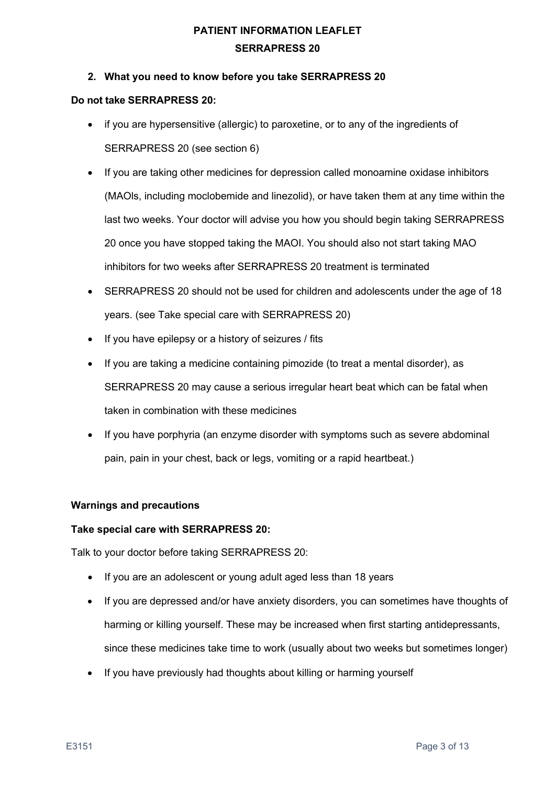### **2. What you need to know before you take SERRAPRESS 20**

### **Do not take SERRAPRESS 20:**

- if you are hypersensitive (allergic) to paroxetine, or to any of the ingredients of SERRAPRESS 20 (see section 6)
- If you are taking other medicines for depression called monoamine oxidase inhibitors (MAOls, including moclobemide and linezolid), or have taken them at any time within the last two weeks. Your doctor will advise you how you should begin taking SERRAPRESS 20 once you have stopped taking the MAOI. You should also not start taking MAO inhibitors for two weeks after SERRAPRESS 20 treatment is terminated
- SERRAPRESS 20 should not be used for children and adolescents under the age of 18 years. (see Take special care with SERRAPRESS 20)
- If you have epilepsy or a history of seizures / fits
- If you are taking a medicine containing pimozide (to treat a mental disorder), as SERRAPRESS 20 may cause a serious irregular heart beat which can be fatal when taken in combination with these medicines
- If you have porphyria (an enzyme disorder with symptoms such as severe abdominal pain, pain in your chest, back or legs, vomiting or a rapid heartbeat.)

### **Warnings and precautions**

#### **Take special care with SERRAPRESS 20:**

Talk to your doctor before taking SERRAPRESS 20:

- If you are an adolescent or young adult aged less than 18 years
- If you are depressed and/or have anxiety disorders, you can sometimes have thoughts of harming or killing yourself. These may be increased when first starting antidepressants, since these medicines take time to work (usually about two weeks but sometimes longer)
- If you have previously had thoughts about killing or harming yourself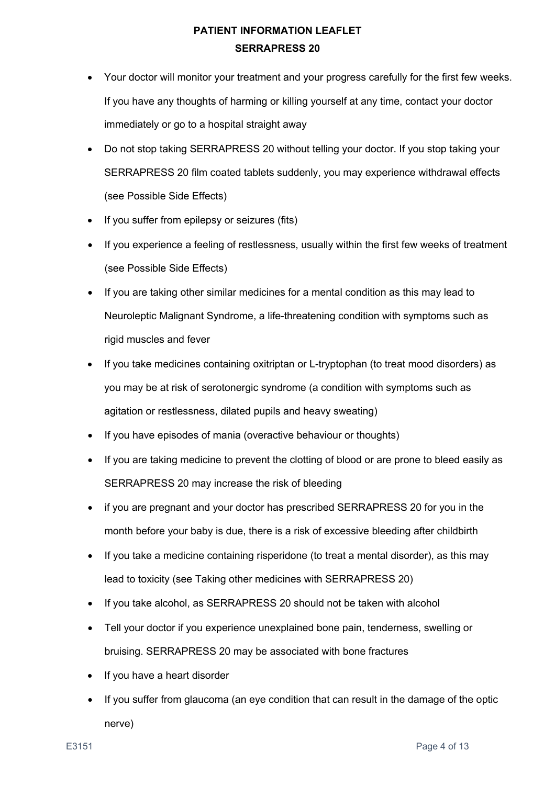- Your doctor will monitor your treatment and your progress carefully for the first few weeks. If you have any thoughts of harming or killing yourself at any time, contact your doctor immediately or go to a hospital straight away
- Do not stop taking SERRAPRESS 20 without telling your doctor. If you stop taking your SERRAPRESS 20 film coated tablets suddenly, you may experience withdrawal effects (see Possible Side Effects)
- If you suffer from epilepsy or seizures (fits)
- If you experience a feeling of restlessness, usually within the first few weeks of treatment (see Possible Side Effects)
- If you are taking other similar medicines for a mental condition as this may lead to Neuroleptic Malignant Syndrome, a life-threatening condition with symptoms such as rigid muscles and fever
- If you take medicines containing oxitriptan or L-tryptophan (to treat mood disorders) as you may be at risk of serotonergic syndrome (a condition with symptoms such as agitation or restlessness, dilated pupils and heavy sweating)
- If you have episodes of mania (overactive behaviour or thoughts)
- If you are taking medicine to prevent the clotting of blood or are prone to bleed easily as SERRAPRESS 20 may increase the risk of bleeding
- if you are pregnant and your doctor has prescribed SERRAPRESS 20 for you in the month before your baby is due, there is a risk of excessive bleeding after childbirth
- If you take a medicine containing risperidone (to treat a mental disorder), as this may lead to toxicity (see Taking other medicines with SERRAPRESS 20)
- If you take alcohol, as SERRAPRESS 20 should not be taken with alcohol
- Tell your doctor if you experience unexplained bone pain, tenderness, swelling or bruising. SERRAPRESS 20 may be associated with bone fractures
- If you have a heart disorder
- If you suffer from glaucoma (an eye condition that can result in the damage of the optic nerve)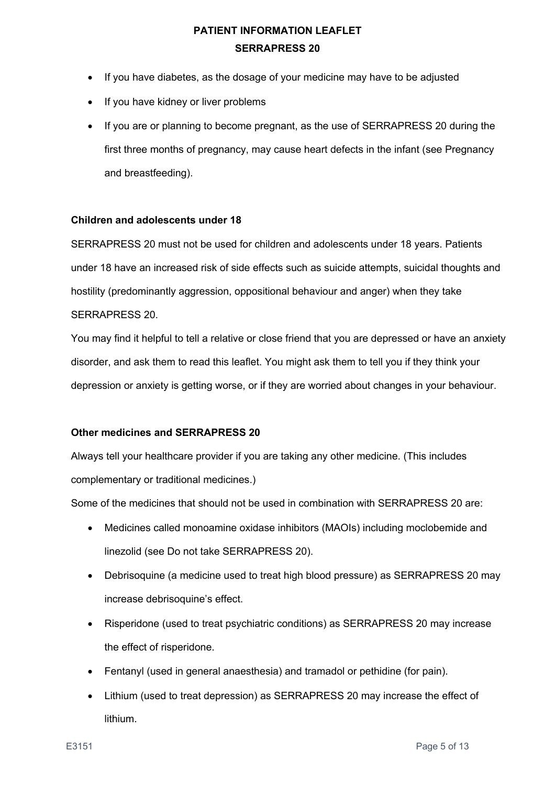- If you have diabetes, as the dosage of your medicine may have to be adjusted
- If you have kidney or liver problems
- If you are or planning to become pregnant, as the use of SERRAPRESS 20 during the first three months of pregnancy, may cause heart defects in the infant (see Pregnancy and breastfeeding).

### **Children and adolescents under 18**

SERRAPRESS 20 must not be used for children and adolescents under 18 years. Patients under 18 have an increased risk of side effects such as suicide attempts, suicidal thoughts and hostility (predominantly aggression, oppositional behaviour and anger) when they take SERRAPRESS 20.

You may find it helpful to tell a relative or close friend that you are depressed or have an anxiety disorder, and ask them to read this leaflet. You might ask them to tell you if they think your depression or anxiety is getting worse, or if they are worried about changes in your behaviour.

### **Other medicines and SERRAPRESS 20**

Always tell your healthcare provider if you are taking any other medicine. (This includes complementary or traditional medicines.)

Some of the medicines that should not be used in combination with SERRAPRESS 20 are:

- Medicines called monoamine oxidase inhibitors (MAOIs) including moclobemide and linezolid (see Do not take SERRAPRESS 20).
- Debrisoquine (a medicine used to treat high blood pressure) as SERRAPRESS 20 may increase debrisoquine's effect.
- Risperidone (used to treat psychiatric conditions) as SERRAPRESS 20 may increase the effect of risperidone.
- Fentanyl (used in general anaesthesia) and tramadol or pethidine (for pain).
- Lithium (used to treat depression) as SERRAPRESS 20 may increase the effect of lithium.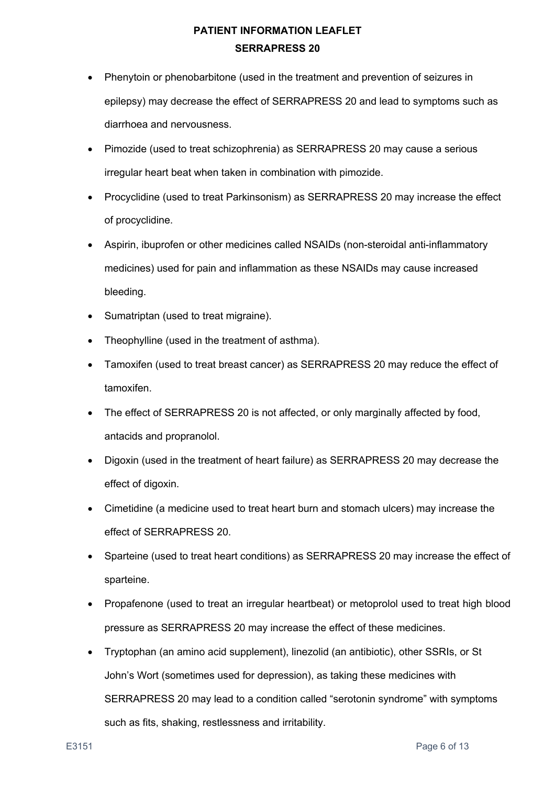- Phenytoin or phenobarbitone (used in the treatment and prevention of seizures in epilepsy) may decrease the effect of SERRAPRESS 20 and lead to symptoms such as diarrhoea and nervousness.
- Pimozide (used to treat schizophrenia) as SERRAPRESS 20 may cause a serious irregular heart beat when taken in combination with pimozide.
- Procyclidine (used to treat Parkinsonism) as SERRAPRESS 20 may increase the effect of procyclidine.
- Aspirin, ibuprofen or other medicines called NSAIDs (non-steroidal anti-inflammatory medicines) used for pain and inflammation as these NSAIDs may cause increased bleeding.
- Sumatriptan (used to treat migraine).
- Theophylline (used in the treatment of asthma).
- Tamoxifen (used to treat breast cancer) as SERRAPRESS 20 may reduce the effect of tamoxifen.
- The effect of SERRAPRESS 20 is not affected, or only marginally affected by food, antacids and propranolol.
- Digoxin (used in the treatment of heart failure) as SERRAPRESS 20 may decrease the effect of digoxin.
- Cimetidine (a medicine used to treat heart burn and stomach ulcers) may increase the effect of SERRAPRESS 20.
- Sparteine (used to treat heart conditions) as SERRAPRESS 20 may increase the effect of sparteine.
- Propafenone (used to treat an irregular heartbeat) or metoprolol used to treat high blood pressure as SERRAPRESS 20 may increase the effect of these medicines.
- Tryptophan (an amino acid supplement), linezolid (an antibiotic), other SSRIs, or St John's Wort (sometimes used for depression), as taking these medicines with SERRAPRESS 20 may lead to a condition called "serotonin syndrome" with symptoms such as fits, shaking, restlessness and irritability.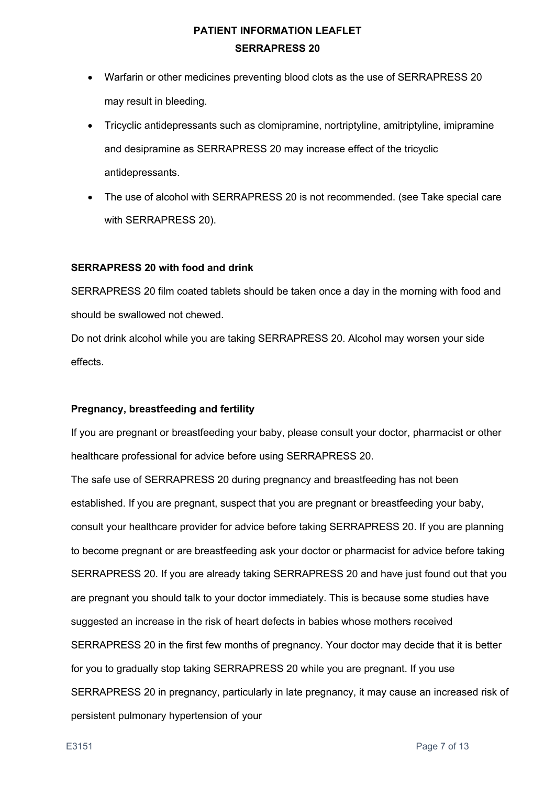- Warfarin or other medicines preventing blood clots as the use of SERRAPRESS 20 may result in bleeding.
- Tricyclic antidepressants such as clomipramine, nortriptyline, amitriptyline, imipramine and desipramine as SERRAPRESS 20 may increase effect of the tricyclic antidepressants.
- The use of alcohol with SERRAPRESS 20 is not recommended. (see Take special care with SERRAPRESS 20).

### **SERRAPRESS 20 with food and drink**

SERRAPRESS 20 film coated tablets should be taken once a day in the morning with food and should be swallowed not chewed.

Do not drink alcohol while you are taking SERRAPRESS 20. Alcohol may worsen your side effects.

### **Pregnancy, breastfeeding and fertility**

If you are pregnant or breastfeeding your baby, please consult your doctor, pharmacist or other healthcare professional for advice before using SERRAPRESS 20.

The safe use of SERRAPRESS 20 during pregnancy and breastfeeding has not been established. If you are pregnant, suspect that you are pregnant or breastfeeding your baby, consult your healthcare provider for advice before taking SERRAPRESS 20. If you are planning to become pregnant or are breastfeeding ask your doctor or pharmacist for advice before taking SERRAPRESS 20. If you are already taking SERRAPRESS 20 and have just found out that you are pregnant you should talk to your doctor immediately. This is because some studies have suggested an increase in the risk of heart defects in babies whose mothers received SERRAPRESS 20 in the first few months of pregnancy. Your doctor may decide that it is better for you to gradually stop taking SERRAPRESS 20 while you are pregnant. If you use SERRAPRESS 20 in pregnancy, particularly in late pregnancy, it may cause an increased risk of persistent pulmonary hypertension of your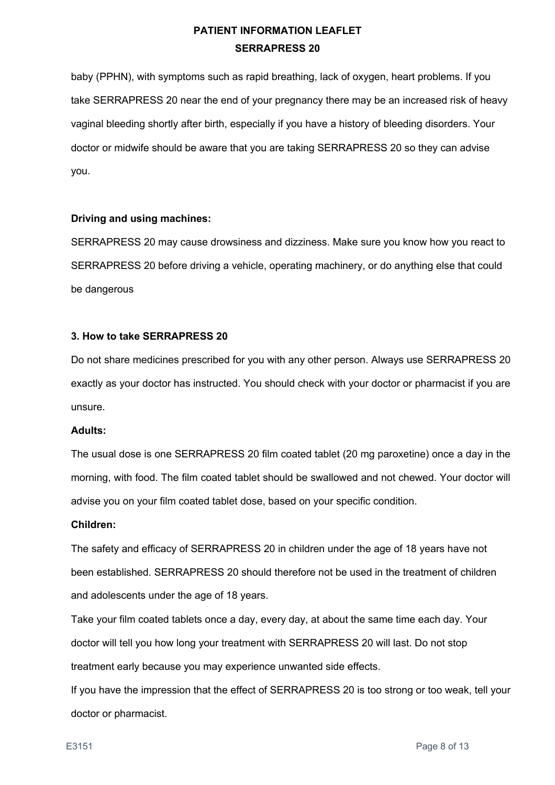baby (PPHN), with symptoms such as rapid breathing, lack of oxygen, heart problems. If you take SERRAPRESS 20 near the end of your pregnancy there may be an increased risk of heavy vaginal bleeding shortly after birth, especially if you have a history of bleeding disorders. Your doctor or midwife should be aware that you are taking SERRAPRESS 20 so they can advise you.

### **Driving and using machines:**

SERRAPRESS 20 may cause drowsiness and dizziness. Make sure you know how you react to SERRAPRESS 20 before driving a vehicle, operating machinery, or do anything else that could be dangerous

### **3. How to take SERRAPRESS 20**

Do not share medicines prescribed for you with any other person. Always use SERRAPRESS 20 exactly as your doctor has instructed. You should check with your doctor or pharmacist if you are unsure.

### **Adults:**

The usual dose is one SERRAPRESS 20 film coated tablet (20 mg paroxetine) once a day in the morning, with food. The film coated tablet should be swallowed and not chewed. Your doctor will advise you on your film coated tablet dose, based on your specific condition.

### **Children:**

The safety and efficacy of SERRAPRESS 20 in children under the age of 18 years have not been established. SERRAPRESS 20 should therefore not be used in the treatment of children and adolescents under the age of 18 years.

Take your film coated tablets once a day, every day, at about the same time each day. Your doctor will tell you how long your treatment with SERRAPRESS 20 will last. Do not stop treatment early because you may experience unwanted side effects.

If you have the impression that the effect of SERRAPRESS 20 is too strong or too weak, tell your doctor or pharmacist.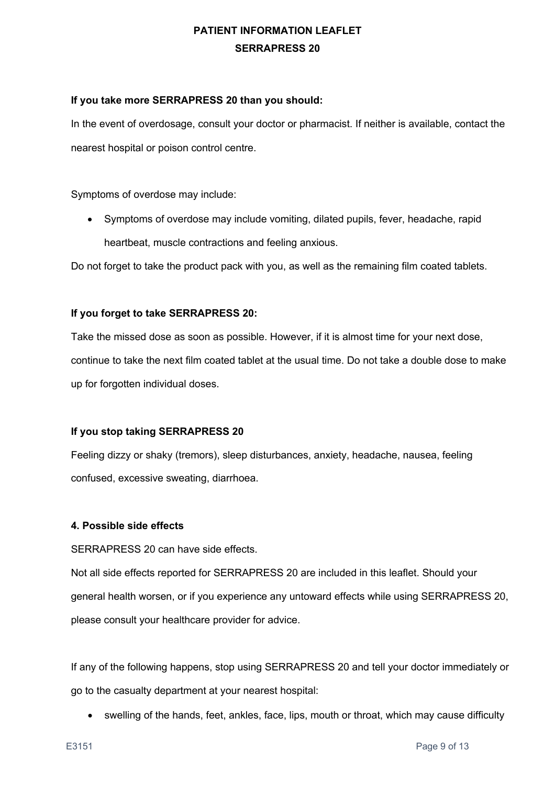#### **If you take more SERRAPRESS 20 than you should:**

In the event of overdosage, consult your doctor or pharmacist. If neither is available, contact the nearest hospital or poison control centre.

Symptoms of overdose may include:

• Symptoms of overdose may include vomiting, dilated pupils, fever, headache, rapid heartbeat, muscle contractions and feeling anxious.

Do not forget to take the product pack with you, as well as the remaining film coated tablets.

### **If you forget to take SERRAPRESS 20:**

Take the missed dose as soon as possible. However, if it is almost time for your next dose, continue to take the next film coated tablet at the usual time. Do not take a double dose to make up for forgotten individual doses.

### **If you stop taking SERRAPRESS 20**

Feeling dizzy or shaky (tremors), sleep disturbances, anxiety, headache, nausea, feeling confused, excessive sweating, diarrhoea.

### **4. Possible side effects**

SERRAPRESS 20 can have side effects.

Not all side effects reported for SERRAPRESS 20 are included in this leaflet. Should your general health worsen, or if you experience any untoward effects while using SERRAPRESS 20, please consult your healthcare provider for advice.

If any of the following happens, stop using SERRAPRESS 20 and tell your doctor immediately or go to the casualty department at your nearest hospital:

• swelling of the hands, feet, ankles, face, lips, mouth or throat, which may cause difficulty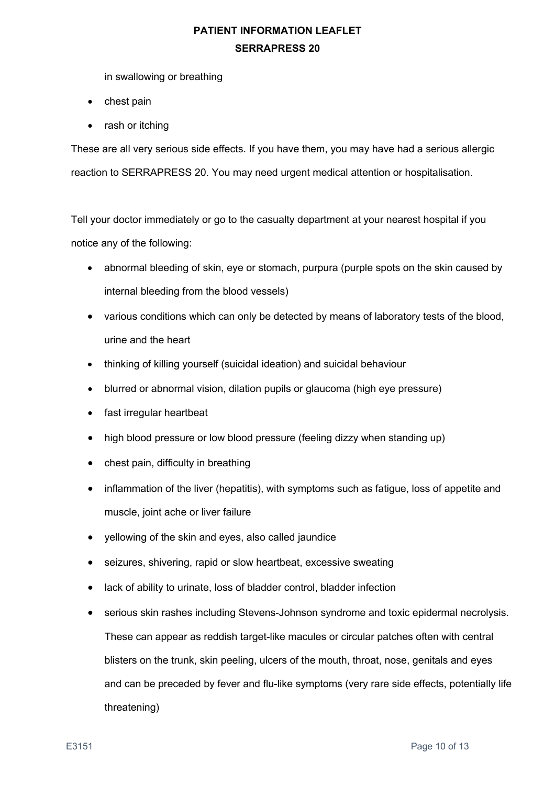in swallowing or breathing

- chest pain
- rash or itching

These are all very serious side effects. If you have them, you may have had a serious allergic reaction to SERRAPRESS 20. You may need urgent medical attention or hospitalisation.

Tell your doctor immediately or go to the casualty department at your nearest hospital if you notice any of the following:

- abnormal bleeding of skin, eye or stomach, purpura (purple spots on the skin caused by internal bleeding from the blood vessels)
- various conditions which can only be detected by means of laboratory tests of the blood, urine and the heart
- thinking of killing yourself (suicidal ideation) and suicidal behaviour
- blurred or abnormal vision, dilation pupils or glaucoma (high eye pressure)
- fast irregular heartbeat
- high blood pressure or low blood pressure (feeling dizzy when standing up)
- chest pain, difficulty in breathing
- inflammation of the liver (hepatitis), with symptoms such as fatigue, loss of appetite and muscle, joint ache or liver failure
- yellowing of the skin and eyes, also called jaundice
- seizures, shivering, rapid or slow heartbeat, excessive sweating
- lack of ability to urinate, loss of bladder control, bladder infection
- serious skin rashes including Stevens-Johnson syndrome and toxic epidermal necrolysis. These can appear as reddish target-like macules or circular patches often with central blisters on the trunk, skin peeling, ulcers of the mouth, throat, nose, genitals and eyes and can be preceded by fever and flu-like symptoms (very rare side effects, potentially life threatening)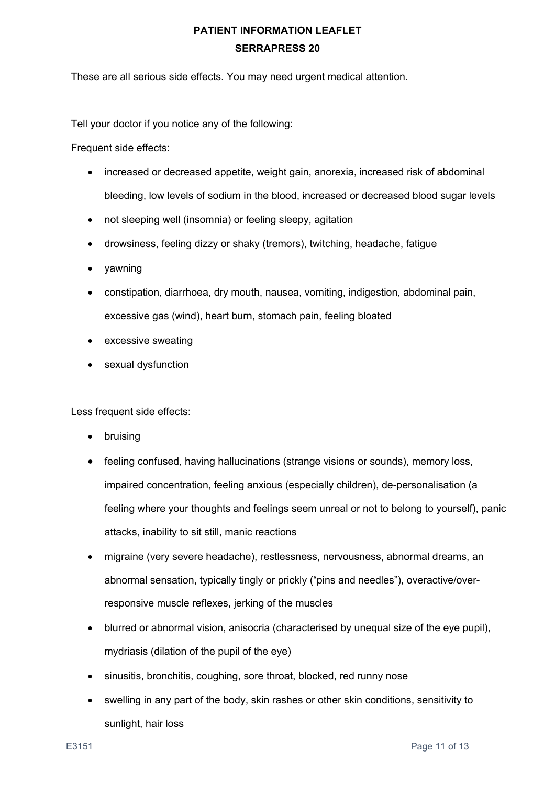These are all serious side effects. You may need urgent medical attention.

Tell your doctor if you notice any of the following:

Frequent side effects:

- increased or decreased appetite, weight gain, anorexia, increased risk of abdominal bleeding, low levels of sodium in the blood, increased or decreased blood sugar levels
- not sleeping well (insomnia) or feeling sleepy, agitation
- drowsiness, feeling dizzy or shaky (tremors), twitching, headache, fatigue
- yawning
- constipation, diarrhoea, dry mouth, nausea, vomiting, indigestion, abdominal pain, excessive gas (wind), heart burn, stomach pain, feeling bloated
- excessive sweating
- sexual dysfunction

Less frequent side effects:

- **bruising**
- feeling confused, having hallucinations (strange visions or sounds), memory loss, impaired concentration, feeling anxious (especially children), de-personalisation (a feeling where your thoughts and feelings seem unreal or not to belong to yourself), panic attacks, inability to sit still, manic reactions
- migraine (very severe headache), restlessness, nervousness, abnormal dreams, an abnormal sensation, typically tingly or prickly ("pins and needles"), overactive/overresponsive muscle reflexes, jerking of the muscles
- blurred or abnormal vision, anisocria (characterised by unequal size of the eye pupil). mydriasis (dilation of the pupil of the eye)
- sinusitis, bronchitis, coughing, sore throat, blocked, red runny nose
- swelling in any part of the body, skin rashes or other skin conditions, sensitivity to sunlight, hair loss